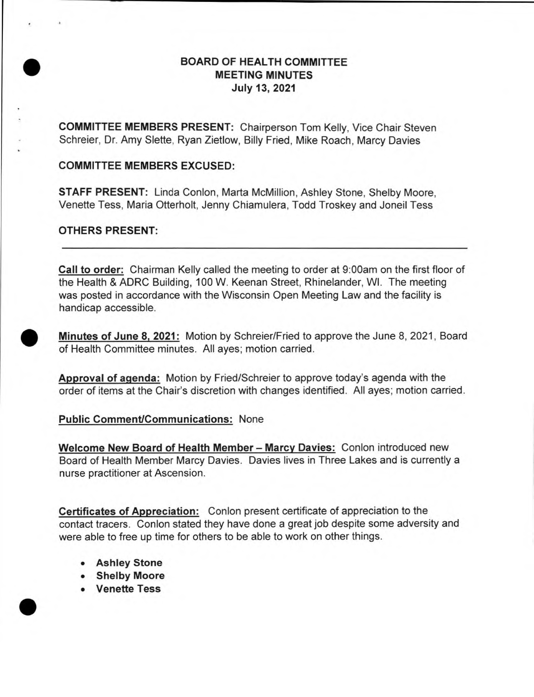# <p><b>EXAMPLE 2</b></p>\n<p><b>EXAMPLE 3</b></p>\n<p><b>BOARD OF HEALTH COMMITTEE</b></p>\n<p><b>MEETING MINUTES</b></p>\n<p><b>July 13, 2021</b></p> **MEETING MINUTES July 13, 2021**

**COMMITTEE MEMBERS PRESENT:** Chairperson Tom Kelly, Vice Chair Steven Schreier, Dr. Amy Slette, Ryan Zietlow, Billy Fried, Mike Roach, Marcy Davies

#### **COMMITTEE MEMBERS EXCUSED:**

**STAFF PRESENT:** Linda Conlon, Marta McMillion, Ashley Stone, Shelby Moore, Venette Tess, Maria Otterholt, Jenny Chiamulera, Todd Troskey and Joneil Tess

#### **OTHERS PRESENT:**

**Call to order:** Chairman Kelly called the meeting to order at 9:00am on the first floor of the Health & ADRC Building, 100 W. Keenan Street, Rhinelander, WI. The meeting was posted in accordance with the Wisconsin Open Meeting Law and the facility is handicap accessible.

**• Minutes of June 8, 2021:** Motion by Schreier/Fried to approve the June 8, 2021, Board of Health Committee minutes. All ayes; motion carried.

**Approval of agenda:** Motion by Fried/Schreier to approve today's agenda with the order of items at the Chair's discretion with changes identified. All ayes; motion carried.

#### **Public Comment/Communications:** None

**Welcome New Board of Health Member — Marcy Davies:** Conlon introduced new Board of Health Member Marcy Davies. Davies lives in Three Lakes and is currently a nurse practitioner at Ascension.

**Certificates of Appreciation:** Conlon present certificate of appreciation to the contact tracers. Conlon stated they have done a great job despite some adversity and were able to free up time for others to be able to work on other things.

- **• Ashley Stone**
- **• Shelby Moore • Venette Tess** •
	-

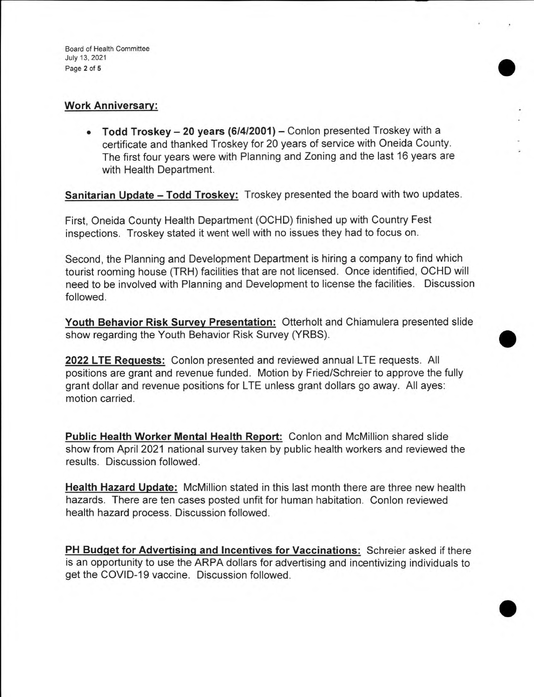### **Work Anniversary:**

**• Todd Troskey — 20 years (6/4/2001) —** Conlon presented Troskey with a certificate and thanked Troskey for 20 years of service with Oneida County. The first four years were with Planning and Zoning and the last 16 years are with Health Department.

•

•

•

**Sanitarian Update — Todd Troskey:** Troskey presented the board with two updates.

First, Oneida County Health Department (OCHD) finished up with Country Fest inspections. Troskey stated it went well with no issues they had to focus on.

Second, the Planning and Development Department is hiring a company to find which tourist rooming house (TRH) facilities that are not licensed. Once identified, OCHD will need to be involved with Planning and Development to license the facilities. Discussion followed.

**Youth Behavior Risk Survey Presentation:** Otterholt and Chiamulera presented slide show regarding the Youth Behavior Risk Survey (YRBS).

**2022 LTE Requests:** Conlon presented and reviewed annual LTE requests. All positions are grant and revenue funded. Motion by Fried/Schreier to approve the fully grant dollar and revenue positions for LTE unless grant dollars go away. All ayes: motion carried.

**Public Health Worker Mental Health Report:** Conlon and McMillion shared slide show from April 2021 national survey taken by public health workers and reviewed the results. Discussion followed.

**Health Hazard Update:** McMillion stated in this last month there are three new health hazards. There are ten cases posted unfit for human habitation. Conlon reviewed health hazard process. Discussion followed.

**PH Budget for Advertising and Incentives for Vaccinations:** Schreier asked if there is an opportunity to use the ARPA dollars for advertising and incentivizing individuals to get the COVID-19 vaccine. Discussion followed.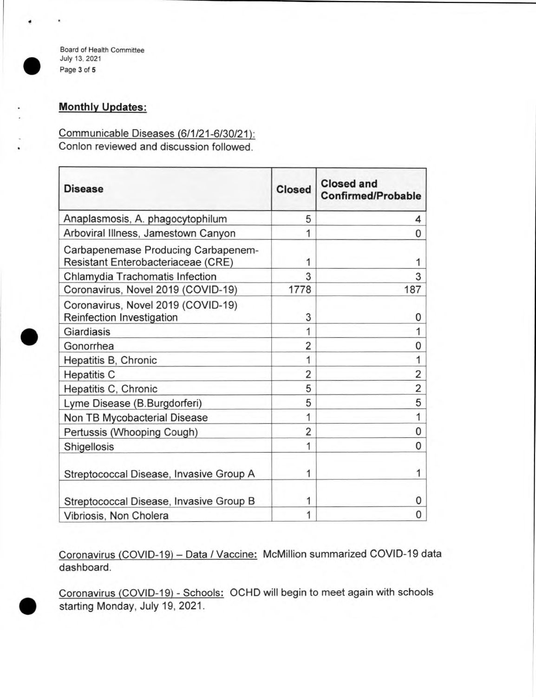$\begin{pmatrix} 1 \\ 1 \\ 0 \\ 0 \\ 0 \end{pmatrix}$ 

#### Board of Health Committee July 13, 2021 Page 3 of 5

## **Monthly Updates:**

Communicable Diseases (6/1/21-6/30/21): Conlon reviewed and discussion followed.

| <b>Disease</b>                                                            | <b>Closed</b>  | <b>Closed and</b><br><b>Confirmed/Probable</b> |
|---------------------------------------------------------------------------|----------------|------------------------------------------------|
| Anaplasmosis, A. phagocytophilum                                          | 5              | 4                                              |
| Arboviral Illness, Jamestown Canyon                                       | 1              | 0                                              |
| Carbapenemase Producing Carbapenem-<br>Resistant Enterobacteriaceae (CRE) | 1              | 1                                              |
| Chlamydia Trachomatis Infection                                           | 3              | 3                                              |
| Coronavirus, Novel 2019 (COVID-19)                                        | 1778           | 187                                            |
| Coronavirus, Novel 2019 (COVID-19)<br>Reinfection Investigation           | 3              | 0                                              |
| Giardiasis                                                                | 1              | 1                                              |
| Gonorrhea                                                                 | 2              | 0                                              |
| Hepatitis B, Chronic                                                      | 1              | 1                                              |
| <b>Hepatitis C</b>                                                        | 2              | 2                                              |
| Hepatitis C, Chronic                                                      | 5              | 2                                              |
| Lyme Disease (B.Burgdorferi)                                              | 5              | 5                                              |
| Non TB Mycobacterial Disease                                              | 1              | 1                                              |
| Pertussis (Whooping Cough)                                                | $\overline{2}$ | 0                                              |
| Shigellosis                                                               | 1              | 0                                              |
| Streptococcal Disease, Invasive Group A                                   | 1              | 1                                              |
| Streptococcal Disease, Invasive Group B                                   | 1              | 0                                              |
| Vibriosis, Non Cholera                                                    | 1              | 0                                              |

• Coronavirus (COVID-19) — Data / Vaccine: McMillion summarized COVID-19 data dashboard.

Coronavirus (COVID-19) - Schools: OCHD will begin to meet again with schools starting Monday, July 19, 2021.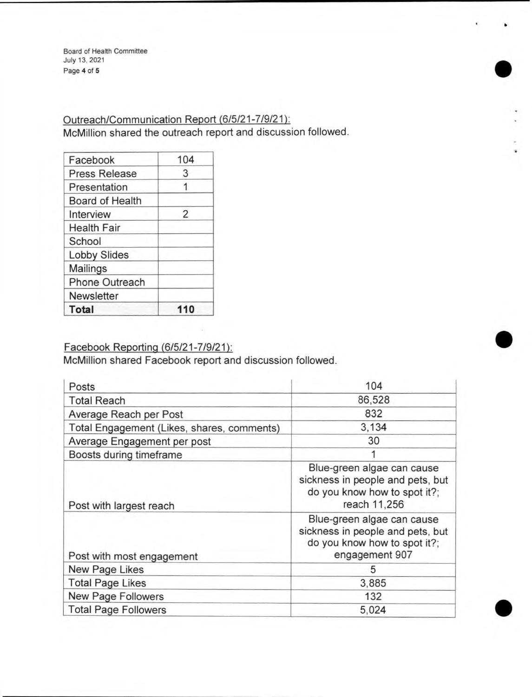Board of Health Committee July 13, 2021 Page **4** of **5** 

Outreach/Communication Report (6/5/21-7/9/21): McMillion shared the outreach report and discussion followed. •<br>●

•

•

| Facebook               | 104 |
|------------------------|-----|
| <b>Press Release</b>   | 3   |
| Presentation           |     |
| <b>Board of Health</b> |     |
| Interview              | 2   |
| <b>Health Fair</b>     |     |
| School                 |     |
| <b>Lobby Slides</b>    |     |
| <b>Mailings</b>        |     |
| Phone Outreach         |     |
| <b>Newsletter</b>      |     |
| <b>Total</b>           |     |

Facebook Reporting (6/5/21-7/9/21):

McMillion shared Facebook report and discussion followed.

| Posts                                      | 104                                                                                                              |
|--------------------------------------------|------------------------------------------------------------------------------------------------------------------|
| <b>Total Reach</b>                         | 86,528                                                                                                           |
| Average Reach per Post                     | 832                                                                                                              |
| Total Engagement (Likes, shares, comments) | 3,134                                                                                                            |
| Average Engagement per post                | 30                                                                                                               |
| Boosts during timeframe                    |                                                                                                                  |
| Post with largest reach                    | Blue-green algae can cause<br>sickness in people and pets, but<br>do you know how to spot it?;<br>reach 11,256   |
| Post with most engagement                  | Blue-green algae can cause<br>sickness in people and pets, but<br>do you know how to spot it?;<br>engagement 907 |
| New Page Likes                             | 5                                                                                                                |
| <b>Total Page Likes</b>                    | 3,885                                                                                                            |
| New Page Followers                         | 132                                                                                                              |
| <b>Total Page Followers</b>                | 5,024                                                                                                            |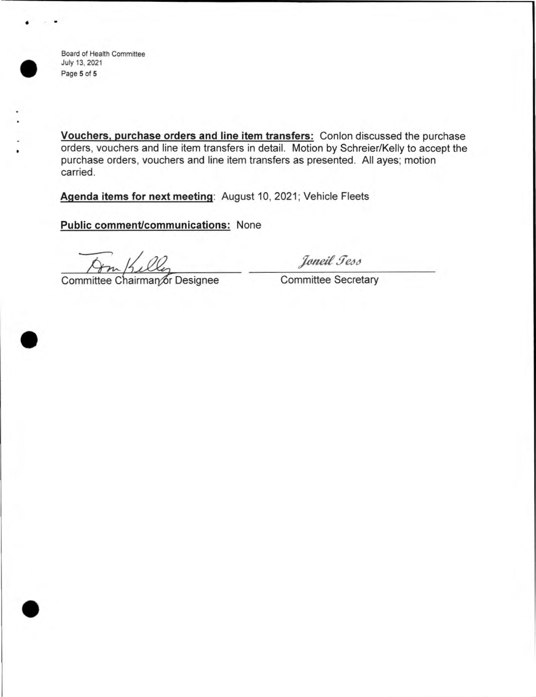

•

•

•

• Board of Health Committee<br>
July 13, 2021<br>
Page 5 of 5 July 13, 2021 Page **5** of **5** 

> **Vouchers, purchase orders and line item transfers:** Conlon discussed the purchase orders, vouchers and line item transfers in detail. Motion by Schreier/Kelly to accept the purchase orders, vouchers and line item transfers as presented. All ayes; motion carried.

**Agenda items for next meeting:** August 10, 2021; Vehicle Fleets

**Public comment/communications:** None

Committee Chairman or Designee Committee Secretary

Joneil Tess